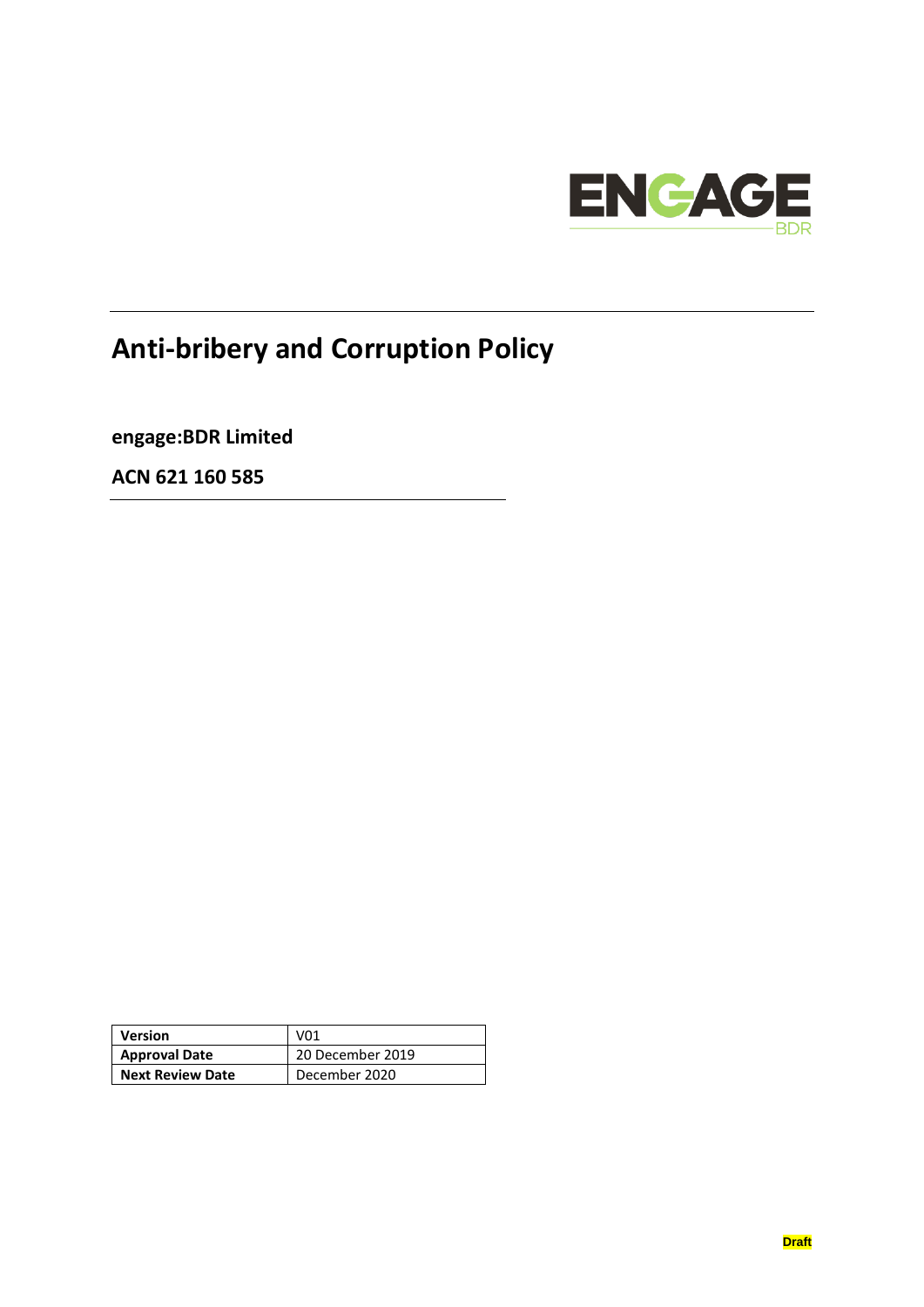

# **Anti-bribery and Corruption Policy**

**engage:BDR Limited**

**ACN 621 160 585**

| Version                 | V <sub>01</sub>  |
|-------------------------|------------------|
| <b>Approval Date</b>    | 20 December 2019 |
| <b>Next Review Date</b> | December 2020    |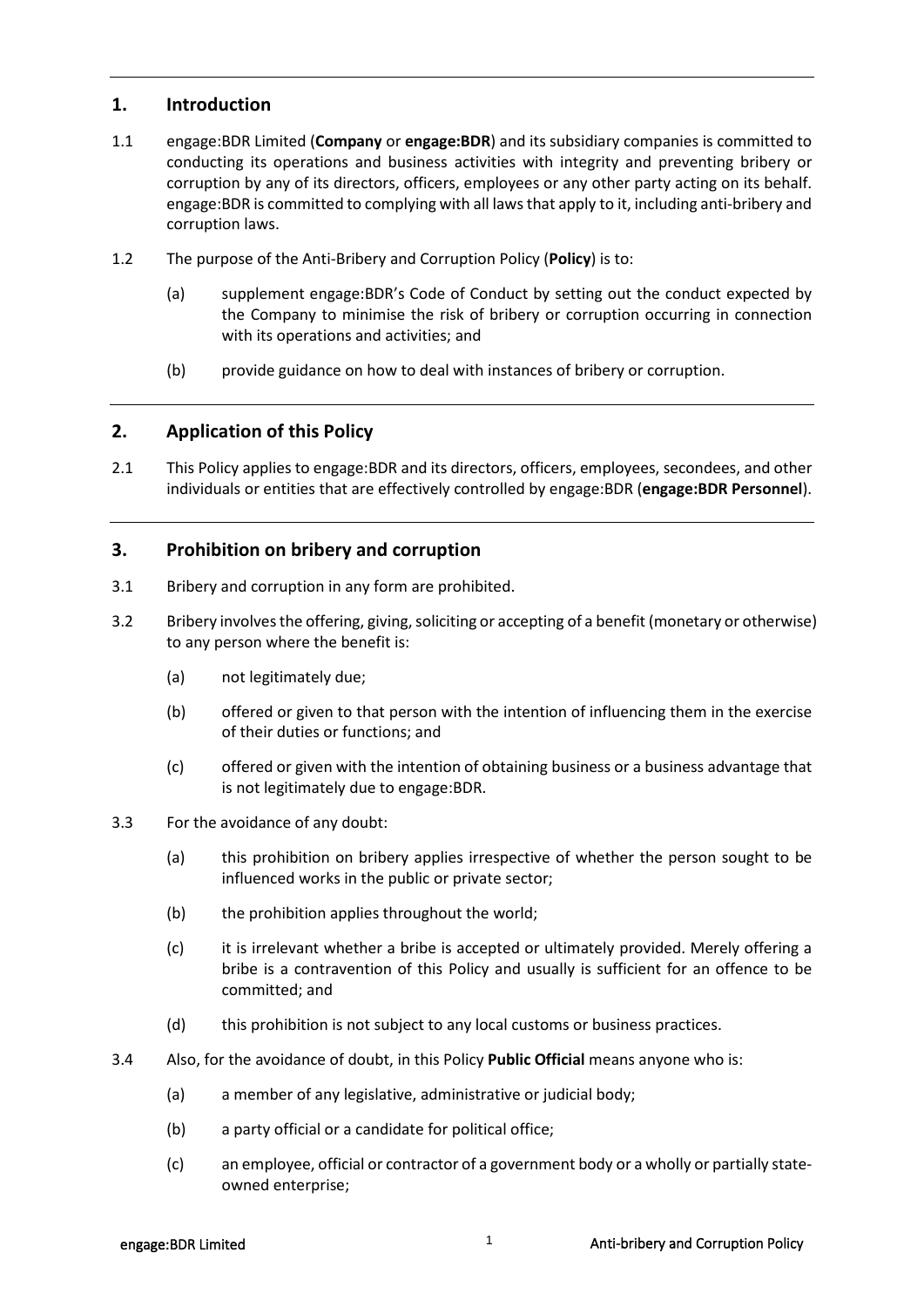## **1. Introduction**

- 1.1 engage:BDR Limited (**Company** or **engage:BDR**) and its subsidiary companies is committed to conducting its operations and business activities with integrity and preventing bribery or corruption by any of its directors, officers, employees or any other party acting on its behalf. engage:BDR is committed to complying with all laws that apply to it, including anti‐bribery and corruption laws.
- 1.2 The purpose of the Anti-Bribery and Corruption Policy (**Policy**) is to:
	- (a) supplement engage:BDR's Code of Conduct by setting out the conduct expected by the Company to minimise the risk of bribery or corruption occurring in connection with its operations and activities; and
	- (b) provide guidance on how to deal with instances of bribery or corruption.

#### **2. Application of this Policy**

2.1 This Policy applies to engage: BDR and its directors, officers, employees, secondees, and other individuals or entities that are effectively controlled by engage:BDR (**engage:BDR Personnel**).

## **3. Prohibition on bribery and corruption**

- 3.1 Bribery and corruption in any form are prohibited.
- 3.2 Bribery involves the offering, giving, soliciting or accepting of a benefit (monetary or otherwise) to any person where the benefit is:
	- (a) not legitimately due;
	- (b) offered or given to that person with the intention of influencing them in the exercise of their duties or functions; and
	- (c) offered or given with the intention of obtaining business or a business advantage that is not legitimately due to engage:BDR.
- 3.3 For the avoidance of any doubt:
	- (a) this prohibition on bribery applies irrespective of whether the person sought to be influenced works in the public or private sector;
	- (b) the prohibition applies throughout the world;
	- (c) it is irrelevant whether a bribe is accepted or ultimately provided. Merely offering a bribe is a contravention of this Policy and usually is sufficient for an offence to be committed; and
	- (d) this prohibition is not subject to any local customs or business practices.
- 3.4 Also, for the avoidance of doubt, in this Policy **Public Official** means anyone who is:
	- (a) a member of any legislative, administrative or judicial body;
	- (b) a party official or a candidate for political office;
	- (c) an employee, official or contractor of a government body or a wholly or partially state‐ owned enterprise;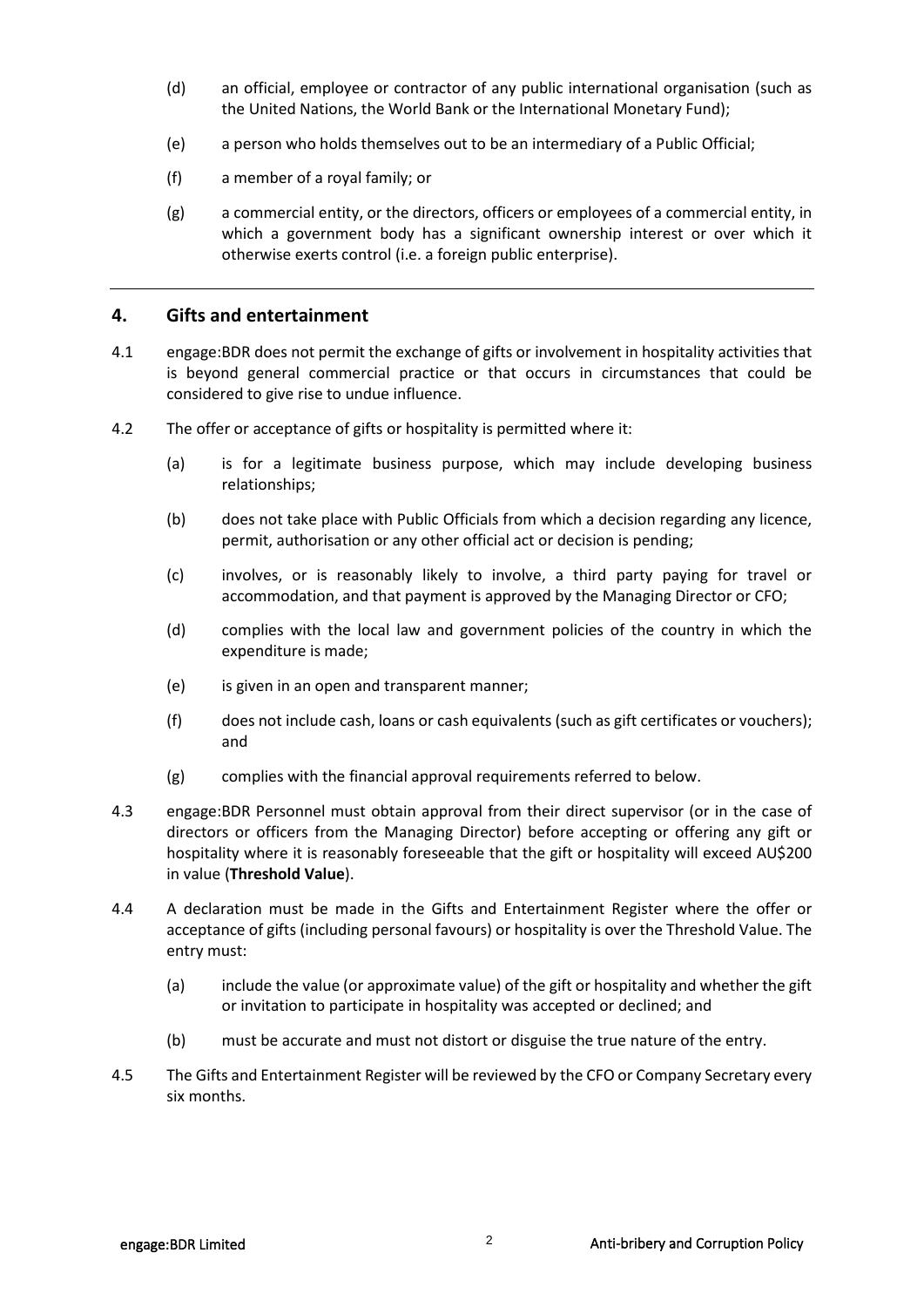- (d) an official, employee or contractor of any public international organisation (such as the United Nations, the World Bank or the International Monetary Fund);
- (e) a person who holds themselves out to be an intermediary of a Public Official;
- (f) a member of a royal family; or
- (g) a commercial entity, or the directors, officers or employees of a commercial entity, in which a government body has a significant ownership interest or over which it otherwise exerts control (i.e. a foreign public enterprise).

#### **4. Gifts and entertainment**

- 4.1 engage:BDR does not permit the exchange of gifts or involvement in hospitality activities that is beyond general commercial practice or that occurs in circumstances that could be considered to give rise to undue influence.
- 4.2 The offer or acceptance of gifts or hospitality is permitted where it:
	- (a) is for a legitimate business purpose, which may include developing business relationships;
	- (b) does not take place with Public Officials from which a decision regarding any licence, permit, authorisation or any other official act or decision is pending;
	- (c) involves, or is reasonably likely to involve, a third party paying for travel or accommodation, and that payment is approved by the Managing Director or CFO;
	- (d) complies with the local law and government policies of the country in which the expenditure is made;
	- (e) is given in an open and transparent manner;
	- (f) does not include cash, loans or cash equivalents (such as gift certificates or vouchers); and
	- (g) complies with the financial approval requirements referred to below.
- 4.3 engage:BDR Personnel must obtain approval from their direct supervisor (or in the case of directors or officers from the Managing Director) before accepting or offering any gift or hospitality where it is reasonably foreseeable that the gift or hospitality will exceed AU\$200 in value (**Threshold Value**).
- 4.4 A declaration must be made in the Gifts and Entertainment Register where the offer or acceptance of gifts (including personal favours) or hospitality is over the Threshold Value. The entry must:
	- (a) include the value (or approximate value) of the gift or hospitality and whether the gift or invitation to participate in hospitality was accepted or declined; and
	- (b) must be accurate and must not distort or disguise the true nature of the entry.
- 4.5 The Gifts and Entertainment Register will be reviewed by the CFO or Company Secretary every six months.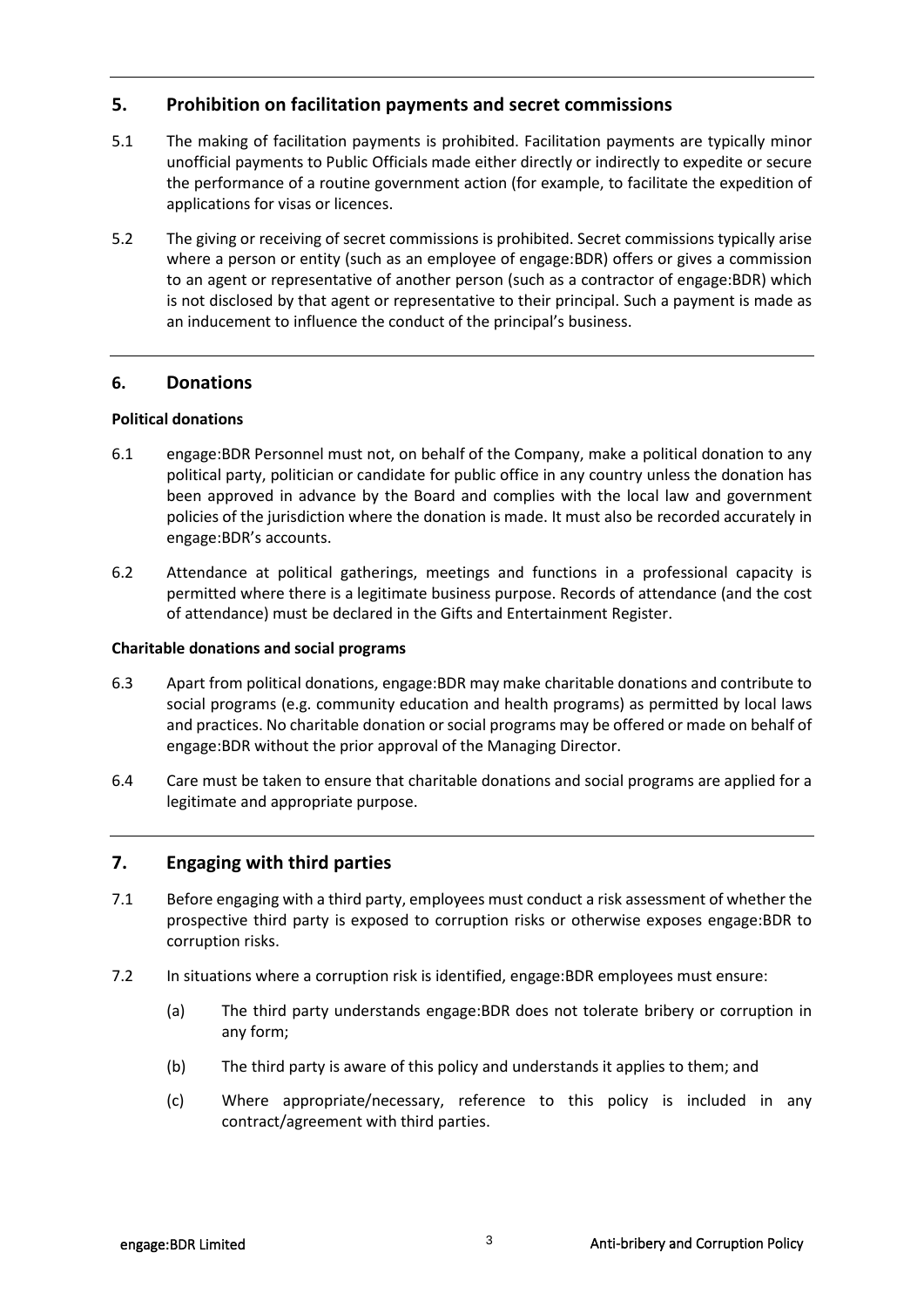### **5. Prohibition on facilitation payments and secret commissions**

- 5.1 The making of facilitation payments is prohibited. Facilitation payments are typically minor unofficial payments to Public Officials made either directly or indirectly to expedite or secure the performance of a routine government action (for example, to facilitate the expedition of applications for visas or licences.
- 5.2 The giving or receiving of secret commissions is prohibited. Secret commissions typically arise where a person or entity (such as an employee of engage:BDR) offers or gives a commission to an agent or representative of another person (such as a contractor of engage:BDR) which is not disclosed by that agent or representative to their principal. Such a payment is made as an inducement to influence the conduct of the principal's business.

#### **6. Donations**

#### **Political donations**

- 6.1 engage:BDR Personnel must not, on behalf of the Company, make a political donation to any political party, politician or candidate for public office in any country unless the donation has been approved in advance by the Board and complies with the local law and government policies of the jurisdiction where the donation is made. It must also be recorded accurately in engage:BDR's accounts.
- 6.2 Attendance at political gatherings, meetings and functions in a professional capacity is permitted where there is a legitimate business purpose. Records of attendance (and the cost of attendance) must be declared in the Gifts and Entertainment Register.

#### **Charitable donations and social programs**

- 6.3 Apart from political donations, engage:BDR may make charitable donations and contribute to social programs (e.g. community education and health programs) as permitted by local laws and practices. No charitable donation or social programs may be offered or made on behalf of engage:BDR without the prior approval of the Managing Director.
- 6.4 Care must be taken to ensure that charitable donations and social programs are applied for a legitimate and appropriate purpose.

#### **7. Engaging with third parties**

- 7.1 Before engaging with a third party, employees must conduct a risk assessment of whether the prospective third party is exposed to corruption risks or otherwise exposes engage:BDR to corruption risks.
- 7.2 In situations where a corruption risk is identified, engage:BDR employees must ensure:
	- (a) The third party understands engage:BDR does not tolerate bribery or corruption in any form;
	- (b) The third party is aware of this policy and understands it applies to them; and
	- (c) Where appropriate/necessary, reference to this policy is included in any contract/agreement with third parties.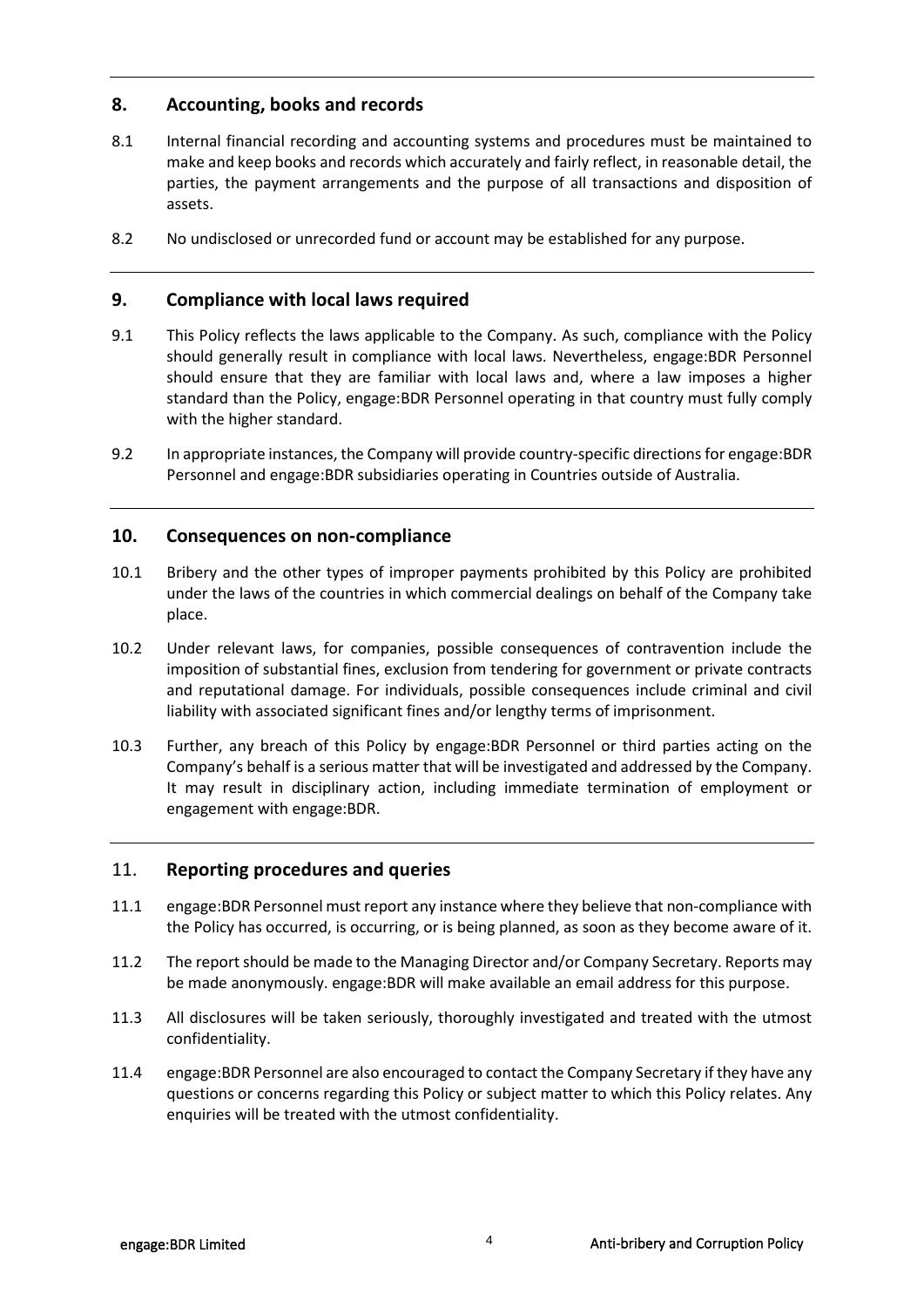## **8. Accounting, books and records**

- 8.1 Internal financial recording and accounting systems and procedures must be maintained to make and keep books and records which accurately and fairly reflect, in reasonable detail, the parties, the payment arrangements and the purpose of all transactions and disposition of assets.
- 8.2 No undisclosed or unrecorded fund or account may be established for any purpose.

### **9. Compliance with local laws required**

- 9.1 This Policy reflects the laws applicable to the Company. As such, compliance with the Policy should generally result in compliance with local laws. Nevertheless, engage:BDR Personnel should ensure that they are familiar with local laws and, where a law imposes a higher standard than the Policy, engage:BDR Personnel operating in that country must fully comply with the higher standard.
- 9.2 In appropriate instances, the Company will provide country-specific directions for engage: BDR Personnel and engage:BDR subsidiaries operating in Countries outside of Australia.

#### **10. Consequences on non-compliance**

- 10.1 Bribery and the other types of improper payments prohibited by this Policy are prohibited under the laws of the countries in which commercial dealings on behalf of the Company take place.
- 10.2 Under relevant laws, for companies, possible consequences of contravention include the imposition of substantial fines, exclusion from tendering for government or private contracts and reputational damage. For individuals, possible consequences include criminal and civil liability with associated significant fines and/or lengthy terms of imprisonment.
- 10.3 Further, any breach of this Policy by engage:BDR Personnel or third parties acting on the Company's behalf is a serious matter that will be investigated and addressed by the Company. It may result in disciplinary action, including immediate termination of employment or engagement with engage:BDR.

#### 11. **Reporting procedures and queries**

- 11.1 engage:BDR Personnel must report any instance where they believe that non‐compliance with the Policy has occurred, is occurring, or is being planned, as soon as they become aware of it.
- 11.2 The report should be made to the Managing Director and/or Company Secretary. Reports may be made anonymously. engage:BDR will make available an email address for this purpose.
- 11.3 All disclosures will be taken seriously, thoroughly investigated and treated with the utmost confidentiality.
- 11.4 engage:BDR Personnel are also encouraged to contact the Company Secretary if they have any questions or concerns regarding this Policy or subject matter to which this Policy relates. Any enquiries will be treated with the utmost confidentiality.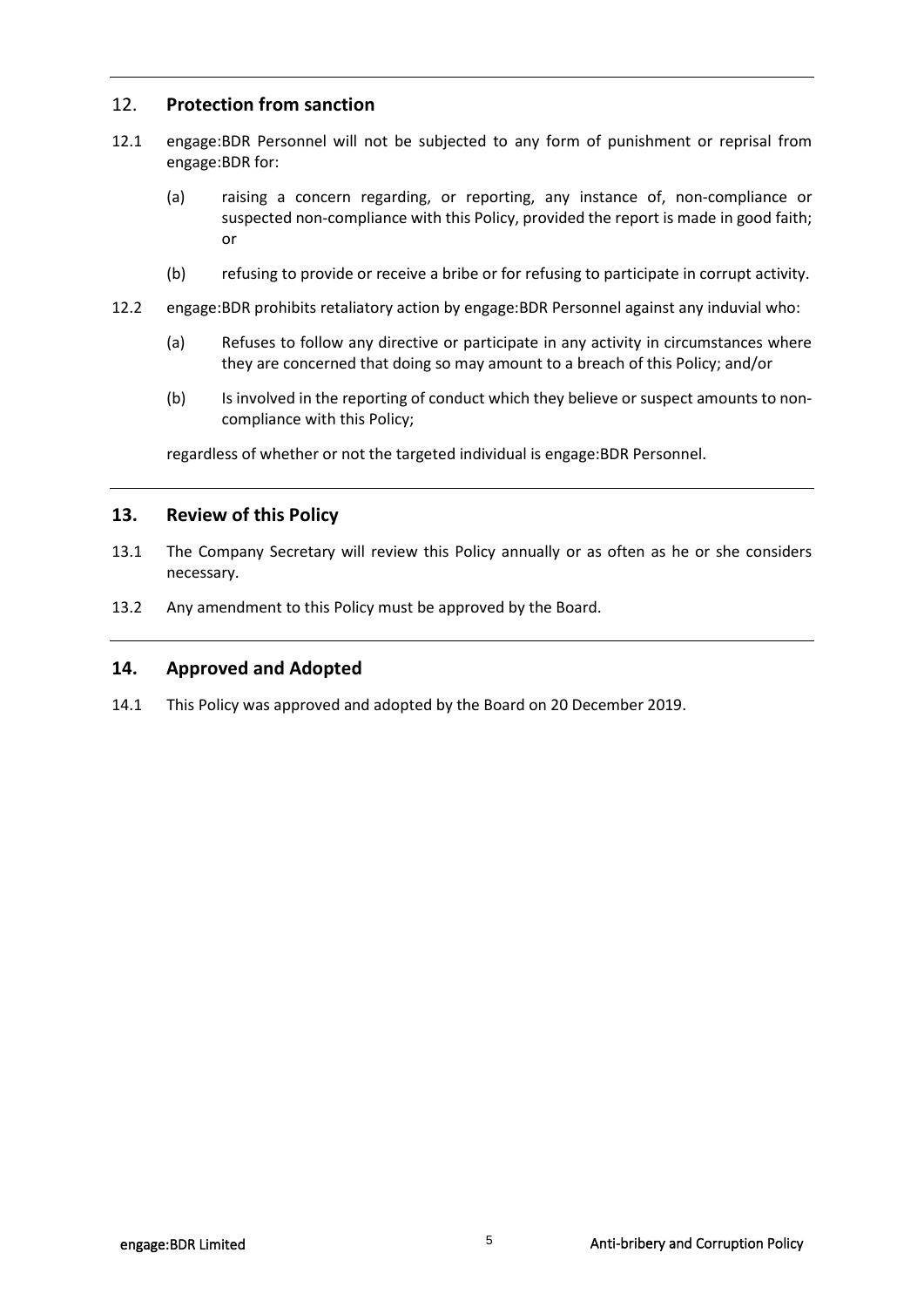## 12. **Protection from sanction**

- 12.1 engage:BDR Personnel will not be subjected to any form of punishment or reprisal from engage:BDR for:
	- (a) raising a concern regarding, or reporting, any instance of, non‐compliance or suspected non-compliance with this Policy, provided the report is made in good faith; or
	- (b) refusing to provide or receive a bribe or for refusing to participate in corrupt activity.
- 12.2 engage:BDR prohibits retaliatory action by engage:BDR Personnel against any induvial who:
	- (a) Refuses to follow any directive or participate in any activity in circumstances where they are concerned that doing so may amount to a breach of this Policy; and/or
	- (b) Is involved in the reporting of conduct which they believe or suspect amounts to noncompliance with this Policy;

regardless of whether or not the targeted individual is engage:BDR Personnel.

#### **13. Review of this Policy**

- 13.1 The Company Secretary will review this Policy annually or as often as he or she considers necessary.
- 13.2 Any amendment to this Policy must be approved by the Board.

#### **14. Approved and Adopted**

14.1 This Policy was approved and adopted by the Board on 20 December 2019.